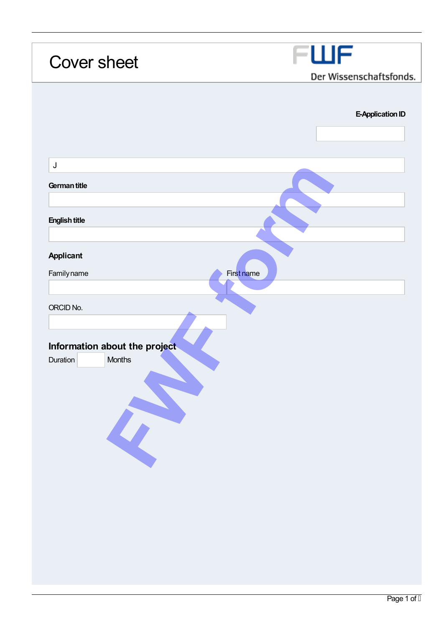| <b>Cover sheet</b>            | FWF<br>Der Wissenschaftsfonds. |
|-------------------------------|--------------------------------|
|                               |                                |
|                               |                                |
|                               | E-Application ID               |
|                               |                                |
|                               |                                |
| $\sf J$                       |                                |
| German title                  |                                |
|                               |                                |
|                               |                                |
| <b>English title</b>          |                                |
|                               |                                |
| <b>Applicant</b>              |                                |
| Familyname<br>First name      |                                |
|                               |                                |
| ORCID No.                     |                                |
|                               |                                |
|                               |                                |
| Information about the project |                                |
| Months<br>Duration            |                                |
|                               |                                |
|                               |                                |
|                               |                                |
|                               |                                |
|                               |                                |
|                               |                                |
|                               |                                |
|                               |                                |
|                               |                                |
|                               |                                |
|                               |                                |
|                               |                                |
|                               |                                |
|                               |                                |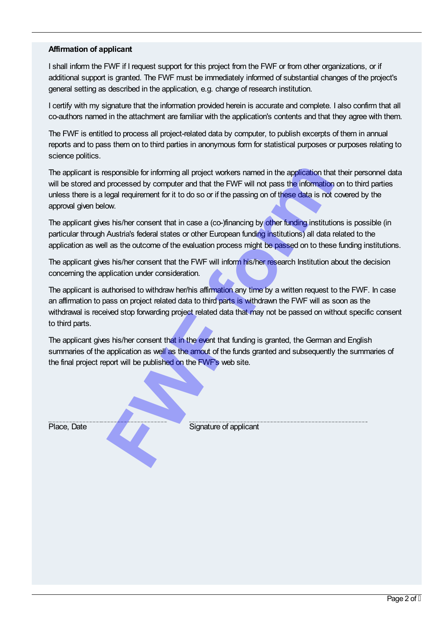## Affirmation of applicant

I shall inform the FWF if I request support for this project from the FWF or from other organizations, or if additional support is granted. The FWF must be immediately informed of substantial changes of the project's general setting as described in the application, e.g. change of research institution.

I certify with my signature that the information provided herein is accurate and complete. I also confirm that all co-authors named in the attachment are familiar with the application's contents and that they agree with them.

The FWF is entitled to process all project-related data by computer, to publish excerpts of them in annual reports and to pass them on to third parties in anonymous form for statistical purposes or purposes relating to science politics.

The applicant is responsible for informing all project workers named in the application that their personnel data will be stored and processed by computer and that the FWF will not pass the information on to third parties unless there is a legal requirement for it to do so or if the passing on of these data is not covered by the approval given below. **Franchise Sponsible for informing all project workers named in the application that processed by computer and that the FWF will not pass the information cogal requirement for it to do so or if the passing on of these data** 

The applicant gives his/her consent that in case a (co-)financing by other funding institutions is possible (in particular through Austria's federal states or other European funding institutions) all data related to the application as well as the outcome of the evaluation process might be passed on to these funding institutions.

The applicant gives his/her consent that the FWF will inform his/her research Institution about the decision concerning the application under consideration.

The applicant is authorised to withdraw her/his affirmation any time by a written request to the FWF. In case an affirmation to pass on project related data to third parts is withdrawn the FWF will as soon as the withdrawal is received stop forwarding project related data that may not be passed on without specific consent to third parts.

The applicant gives his/her consent that in the event that funding is granted, the German and English summaries of the application as well as the amout of the funds granted and subsequently the summaries of the final project report will be published on the FWF's web site.

Place, Date Signature of applicant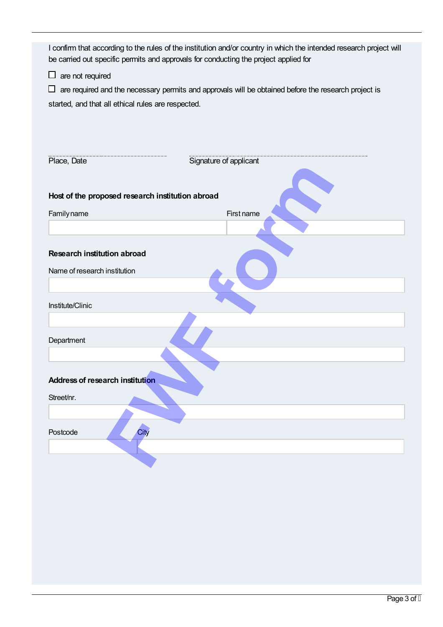| I confirm that according to the rules of the institution and/or country in which the intended research project will |
|---------------------------------------------------------------------------------------------------------------------|
| be carried out specific permits and approvals for conducting the project applied for                                |

 $\square$  are not required

 $\Box$  are required and the necessary permits and approvals will be obtained before the research project is started, and that all ethical rules are respected.

| Place, Date                                      | Signature of applicant |
|--------------------------------------------------|------------------------|
|                                                  |                        |
| Host of the proposed research institution abroad |                        |
| Familyname                                       | First name             |
|                                                  |                        |
|                                                  |                        |
| <b>Research institution abroad</b>               |                        |
| Name of research institution                     |                        |
|                                                  |                        |
| Institute/Clinic                                 |                        |
|                                                  |                        |
| Department                                       |                        |
|                                                  |                        |
|                                                  |                        |
| <b>Address of research institution</b>           |                        |
| Street/nr.                                       |                        |
|                                                  |                        |
| City<br>Postcode                                 |                        |
|                                                  |                        |
|                                                  |                        |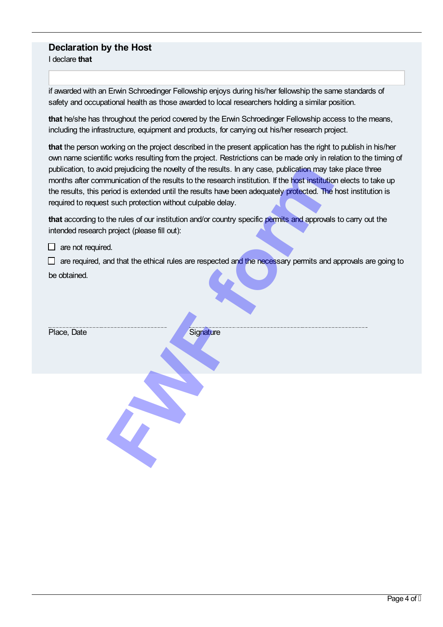## Declaration by the Host

I declare that

if awarded with an Erwin Schroedinger Fellowship enjoys during his/her fellowship the same standards of safety and occupational health as those awarded to local researchers holding a similar position.

that he/she has throughout the period covered by the Erwin Schroedinger Fellowship access to the means, including the infrastructure, equipment and products, for carrying out his/her research project.

that the person working on the project described in the present application has the right to publish in his/her own name scientific works resulting from the project. Restrictions can be made only in relation to the timing of publication, to avoid prejudicing the novelty of the results. In any case, publication may take place three months after communication of the results to the research institution. If the host institution elects to take up the results, this period is extended until the results have been adequately protected. The host institution is required to request such protection without culpable delay.

that according to the rules of our institution and/or country specific permits and approvals to carry out the intended research project (please fill out):

 $\Box$  are required, and that the ethical rules are respected and the necessary permits and approvals are going to be obtained.

| publication, to avoid prejudicing the novelty of the results. In any case, publication may take place the<br>months after communication of the results to the research institution. If the host institution elects to t<br>the results, this period is extended until the results have been adequately protected. The host institut<br>required to request such protection without culpable delay. |
|----------------------------------------------------------------------------------------------------------------------------------------------------------------------------------------------------------------------------------------------------------------------------------------------------------------------------------------------------------------------------------------------------|
| that according to the rules of our institution and/or country specific permits and approvals to carry ou<br>intended research project (please fill out):                                                                                                                                                                                                                                           |
| are not required.                                                                                                                                                                                                                                                                                                                                                                                  |
| are required, and that the ethical rules are respected and the necessary permits and approvals are                                                                                                                                                                                                                                                                                                 |
| be obtained.                                                                                                                                                                                                                                                                                                                                                                                       |
| Place, Date<br>Signature                                                                                                                                                                                                                                                                                                                                                                           |
|                                                                                                                                                                                                                                                                                                                                                                                                    |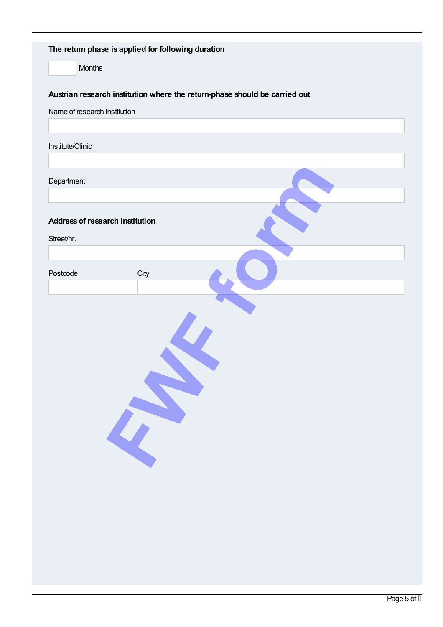| The return phase is applied for following duration                         |  |  |  |  |
|----------------------------------------------------------------------------|--|--|--|--|
| Months                                                                     |  |  |  |  |
| Austrian research institution where the return-phase should be carried out |  |  |  |  |
| Name of research institution                                               |  |  |  |  |
|                                                                            |  |  |  |  |
| Institute/Clinic                                                           |  |  |  |  |
| Department                                                                 |  |  |  |  |
|                                                                            |  |  |  |  |
| <b>Address of research institution</b>                                     |  |  |  |  |
| Street/nr.                                                                 |  |  |  |  |
|                                                                            |  |  |  |  |
| Postcode<br>City                                                           |  |  |  |  |
|                                                                            |  |  |  |  |
|                                                                            |  |  |  |  |
|                                                                            |  |  |  |  |
|                                                                            |  |  |  |  |
|                                                                            |  |  |  |  |
|                                                                            |  |  |  |  |
|                                                                            |  |  |  |  |
|                                                                            |  |  |  |  |
|                                                                            |  |  |  |  |
|                                                                            |  |  |  |  |
|                                                                            |  |  |  |  |
|                                                                            |  |  |  |  |
|                                                                            |  |  |  |  |
|                                                                            |  |  |  |  |
|                                                                            |  |  |  |  |